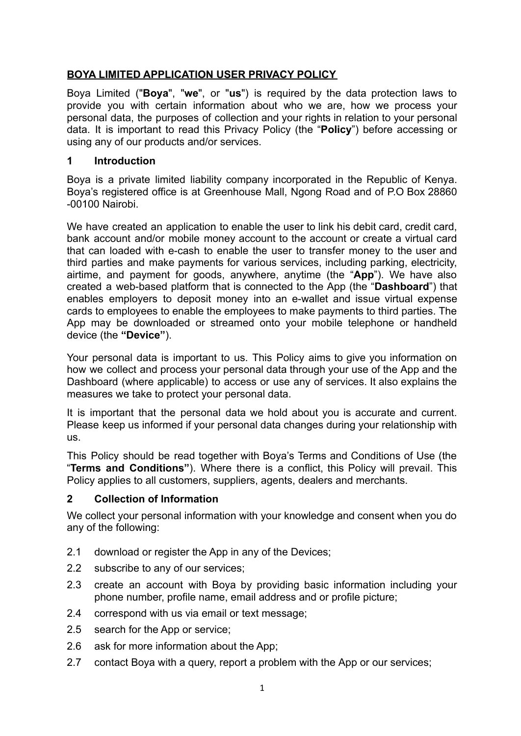# **BOYA LIMITED APPLICATION USER PRIVACY POLICY**

Boya Limited ("**Boya**", "**we**", or "**us**") is required by the data protection laws to provide you with certain information about who we are, how we process your personal data, the purposes of collection and your rights in relation to your personal data. It is important to read this Privacy Policy (the "**Policy**") before accessing or using any of our products and/or services.

## **1 Introduction**

Boya is a private limited liability company incorporated in the Republic of Kenya. Boya's registered office is at Greenhouse Mall, Ngong Road and of P.O Box 28860 -00100 Nairobi.

We have created an application to enable the user to link his debit card, credit card, bank account and/or mobile money account to the account or create a virtual card that can loaded with e-cash to enable the user to transfer money to the user and third parties and make payments for various services, including parking, electricity, airtime, and payment for goods, anywhere, anytime (the "**App**"). We have also created a web-based platform that is connected to the App (the "**Dashboard**") that enables employers to deposit money into an e-wallet and issue virtual expense cards to employees to enable the employees to make payments to third parties. The App may be downloaded or streamed onto your mobile telephone or handheld device (the **"Device"**).

Your personal data is important to us. This Policy aims to give you information on how we collect and process your personal data through your use of the App and the Dashboard (where applicable) to access or use any of services. It also explains the measures we take to protect your personal data.

It is important that the personal data we hold about you is accurate and current. Please keep us informed if your personal data changes during your relationship with us.

This Policy should be read together with Boya's Terms and Conditions of Use (the "**Terms and Conditions"**). Where there is a conflict, this Policy will prevail. This Policy applies to all customers, suppliers, agents, dealers and merchants.

## **2 Collection of Information**

We collect your personal information with your knowledge and consent when you do any of the following:

- 2.1 download or register the App in any of the Devices;
- 2.2 subscribe to any of our services;
- 2.3 create an account with Boya by providing basic information including your phone number, profile name, email address and or profile picture;
- 2.4 correspond with us via email or text message;
- 2.5 search for the App or service;
- 2.6 ask for more information about the App;
- 2.7 contact Boya with a query, report a problem with the App or our services;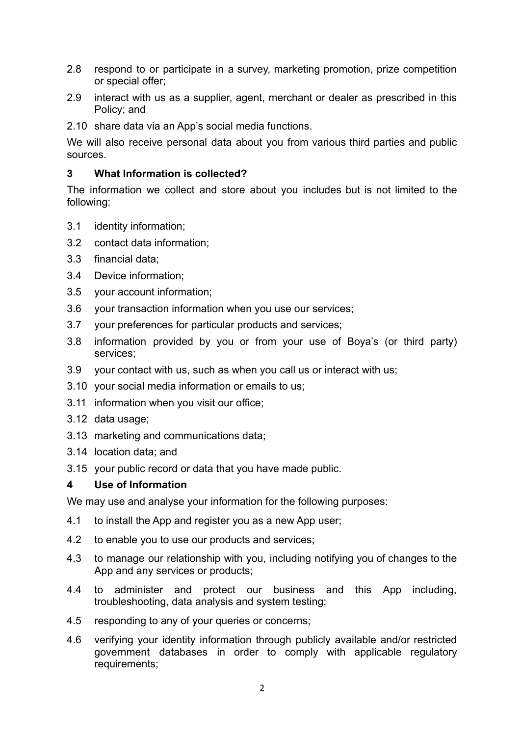- 2.8 respond to or participate in a survey, marketing promotion, prize competition or special offer;
- 2.9 interact with us as a supplier, agent, merchant or dealer as prescribed in this Policy; and
- 2.10 share data via an App's social media functions.

We will also receive personal data about you from various third parties and public sources.

#### **3 What Information is collected?**

The information we collect and store about you includes but is not limited to the following:

- 3.1 identity information;
- 3.2 contact data information;
- 3.3 financial data;
- 3.4 Device information;
- 3.5 your account information;
- 3.6 your transaction information when you use our services;
- 3.7 your preferences for particular products and services;
- 3.8 information provided by you or from your use of Boya's (or third party) services;
- 3.9 your contact with us, such as when you call us or interact with us;
- 3.10 your social media information or emails to us;
- 3.11 information when you visit our office;
- 3.12 data usage;
- 3.13 marketing and communications data;
- 3.14 location data; and
- 3.15 your public record or data that you have made public.

#### **4 Use of Information**

We may use and analyse your information for the following purposes:

- 4.1 to install the App and register you as a new App user;
- 4.2 to enable you to use our products and services;
- 4.3 to manage our relationship with you, including notifying you of changes to the App and any services or products;
- 4.4 to administer and protect our business and this App including, troubleshooting, data analysis and system testing;
- 4.5 responding to any of your queries or concerns;
- 4.6 verifying your identity information through publicly available and/or restricted government databases in order to comply with applicable regulatory requirements;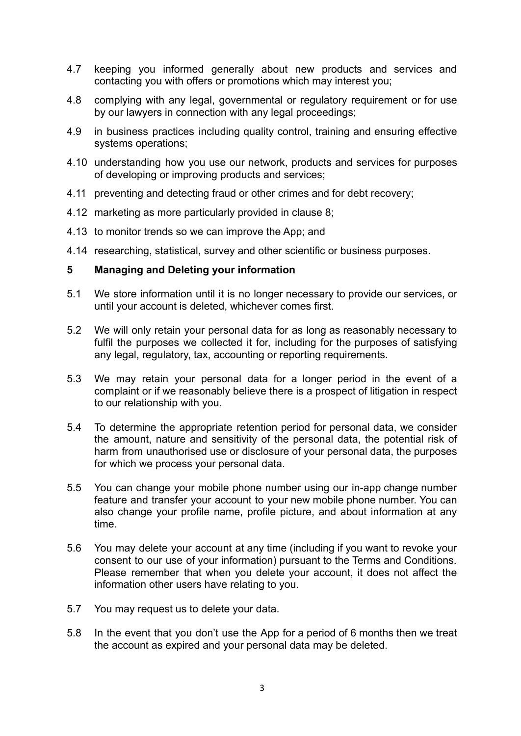- 4.7 keeping you informed generally about new products and services and contacting you with offers or promotions which may interest you;
- 4.8 complying with any legal, governmental or regulatory requirement or for use by our lawyers in connection with any legal proceedings;
- 4.9 in business practices including quality control, training and ensuring effective systems operations;
- 4.10 understanding how you use our network, products and services for purposes of developing or improving products and services;
- 4.11 preventing and detecting fraud or other crimes and for debt recovery;
- 4.12 marketing as more particularly provided in clause 8;
- 4.13 to monitor trends so we can improve the App; and
- 4.14 researching, statistical, survey and other scientific or business purposes.

#### **5 Managing and Deleting your information**

- 5.1 We store information until it is no longer necessary to provide our services, or until your account is deleted, whichever comes first.
- 5.2 We will only retain your personal data for as long as reasonably necessary to fulfil the purposes we collected it for, including for the purposes of satisfying any legal, regulatory, tax, accounting or reporting requirements.
- 5.3 We may retain your personal data for a longer period in the event of a complaint or if we reasonably believe there is a prospect of litigation in respect to our relationship with you.
- 5.4 To determine the appropriate retention period for personal data, we consider the amount, nature and sensitivity of the personal data, the potential risk of harm from unauthorised use or disclosure of your personal data, the purposes for which we process your personal data.
- 5.5 You can change your mobile phone number using our in-app change number feature and transfer your account to your new mobile phone number. You can also change your profile name, profile picture, and about information at any time.
- 5.6 You may delete your account at any time (including if you want to revoke your consent to our use of your information) pursuant to the Terms and Conditions. Please remember that when you delete your account, it does not affect the information other users have relating to you.
- 5.7 You may request us to delete your data.
- 5.8 In the event that you don't use the App for a period of 6 months then we treat the account as expired and your personal data may be deleted.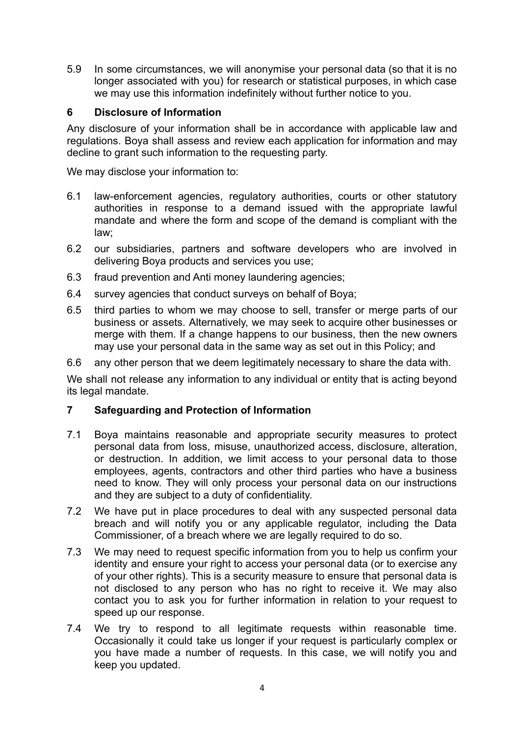5.9 In some circumstances, we will anonymise your personal data (so that it is no longer associated with you) for research or statistical purposes, in which case we may use this information indefinitely without further notice to you.

#### **6 Disclosure of Information**

Any disclosure of your information shall be in accordance with applicable law and regulations. Boya shall assess and review each application for information and may decline to grant such information to the requesting party.

We may disclose your information to:

- 6.1 law-enforcement agencies, regulatory authorities, courts or other statutory authorities in response to a demand issued with the appropriate lawful mandate and where the form and scope of the demand is compliant with the law;
- 6.2 our subsidiaries, partners and software developers who are involved in delivering Boya products and services you use;
- 6.3 fraud prevention and Anti money laundering agencies;
- 6.4 survey agencies that conduct surveys on behalf of Boya;
- 6.5 third parties to whom we may choose to sell, transfer or merge parts of our business or assets. Alternatively, we may seek to acquire other businesses or merge with them. If a change happens to our business, then the new owners may use your personal data in the same way as set out in this Policy; and
- 6.6 any other person that we deem legitimately necessary to share the data with.

We shall not release any information to any individual or entity that is acting beyond its legal mandate.

## **7 Safeguarding and Protection of Information**

- 7.1 Boya maintains reasonable and appropriate security measures to protect personal data from loss, misuse, unauthorized access, disclosure, alteration, or destruction. In addition, we limit access to your personal data to those employees, agents, contractors and other third parties who have a business need to know. They will only process your personal data on our instructions and they are subject to a duty of confidentiality.
- 7.2 We have put in place procedures to deal with any suspected personal data breach and will notify you or any applicable regulator, including the Data Commissioner, of a breach where we are legally required to do so.
- 7.3 We may need to request specific information from you to help us confirm your identity and ensure your right to access your personal data (or to exercise any of your other rights). This is a security measure to ensure that personal data is not disclosed to any person who has no right to receive it. We may also contact you to ask you for further information in relation to your request to speed up our response.
- 7.4 We try to respond to all legitimate requests within reasonable time. Occasionally it could take us longer if your request is particularly complex or you have made a number of requests. In this case, we will notify you and keep you updated.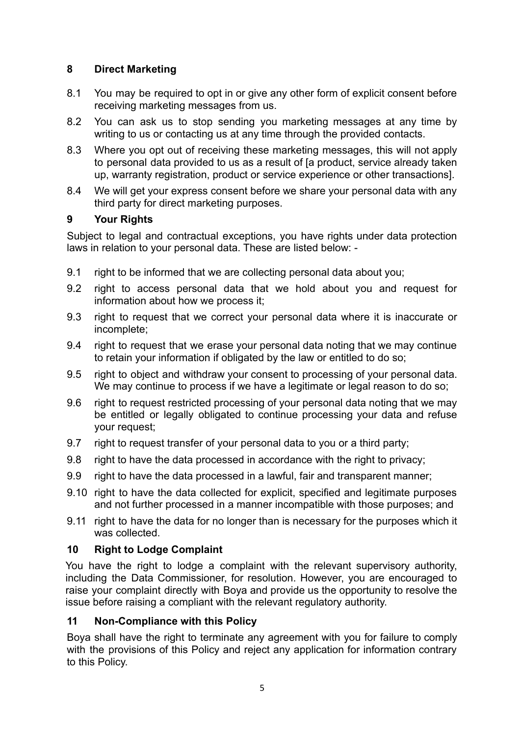# **8 Direct Marketing**

- 8.1 You may be required to opt in or give any other form of explicit consent before receiving marketing messages from us.
- 8.2 You can ask us to stop sending you marketing messages at any time by writing to us or contacting us at any time through the provided contacts.
- 8.3 Where you opt out of receiving these marketing messages, this will not apply to personal data provided to us as a result of [a product, service already taken up, warranty registration, product or service experience or other transactions].
- 8.4 We will get your express consent before we share your personal data with any third party for direct marketing purposes.

# **9 Your Rights**

Subject to legal and contractual exceptions, you have rights under data protection laws in relation to your personal data. These are listed below: -

- 9.1 right to be informed that we are collecting personal data about you;
- 9.2 right to access personal data that we hold about you and request for information about how we process it;
- 9.3 right to request that we correct your personal data where it is inaccurate or incomplete;
- 9.4 right to request that we erase your personal data noting that we may continue to retain your information if obligated by the law or entitled to do so;
- 9.5 right to object and withdraw your consent to processing of your personal data. We may continue to process if we have a legitimate or legal reason to do so;
- 9.6 right to request restricted processing of your personal data noting that we may be entitled or legally obligated to continue processing your data and refuse your request;
- 9.7 right to request transfer of your personal data to you or a third party;
- 9.8 right to have the data processed in accordance with the right to privacy;
- 9.9 right to have the data processed in a lawful, fair and transparent manner;
- 9.10 right to have the data collected for explicit, specified and legitimate purposes and not further processed in a manner incompatible with those purposes; and
- 9.11 right to have the data for no longer than is necessary for the purposes which it was collected.

## **10 Right to Lodge Complaint**

You have the right to lodge a complaint with the relevant supervisory authority, including the Data Commissioner, for resolution. However, you are encouraged to raise your complaint directly with Boya and provide us the opportunity to resolve the issue before raising a compliant with the relevant regulatory authority.

## **11 Non-Compliance with this Policy**

Boya shall have the right to terminate any agreement with you for failure to comply with the provisions of this Policy and reject any application for information contrary to this Policy.